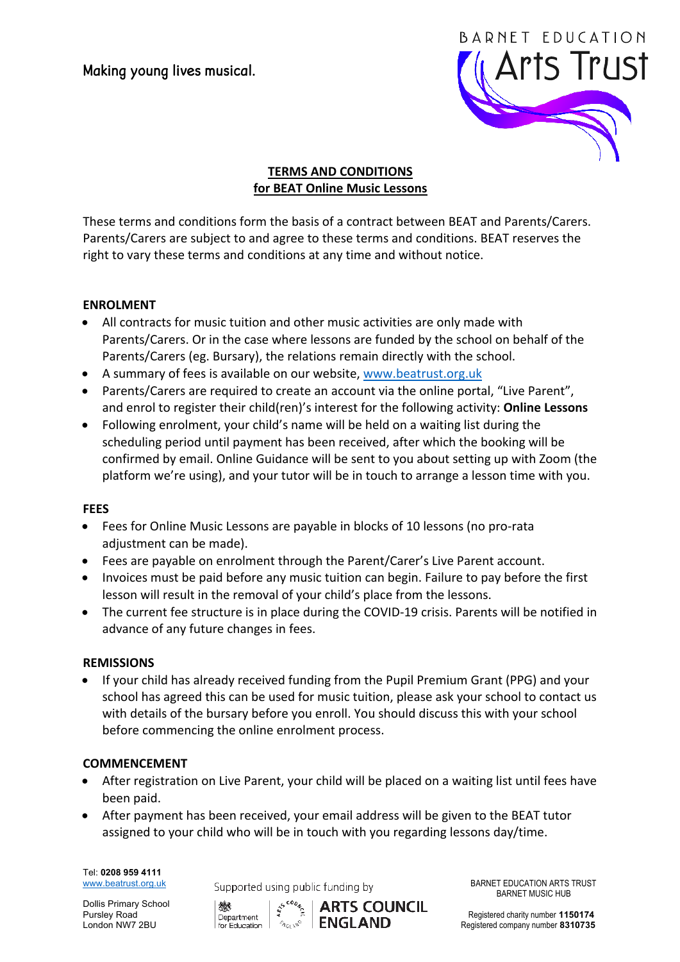Making young lives musical.



# **TERMS AND CONDITIONS for BEAT Online Music Lessons**

These terms and conditions form the basis of a contract between BEAT and Parents/Carers. Parents/Carers are subject to and agree to these terms and conditions. BEAT reserves the right to vary these terms and conditions at any time and without notice.

## **ENROLMENT**

- All contracts for music tuition and other music activities are only made with Parents/Carers. Or in the case where lessons are funded by the school on behalf of the Parents/Carers (eg. Bursary), the relations remain directly with the school.
- A summary of fees is available on our website, www.beatrust.org.uk
- Parents/Carers are required to create an account via the online portal, "Live Parent", and enrol to register their child(ren)'s interest for the following activity: **Online Lessons**
- Following enrolment, your child's name will be held on a waiting list during the scheduling period until payment has been received, after which the booking will be confirmed by email. Online Guidance will be sent to you about setting up with Zoom (the platform we're using), and your tutor will be in touch to arrange a lesson time with you.

#### **FEES**

- Fees for Online Music Lessons are payable in blocks of 10 lessons (no pro-rata adjustment can be made).
- Fees are payable on enrolment through the Parent/Carer's Live Parent account.
- Invoices must be paid before any music tuition can begin. Failure to pay before the first lesson will result in the removal of your child's place from the lessons.
- The current fee structure is in place during the COVID-19 crisis. Parents will be notified in advance of any future changes in fees.

#### **REMISSIONS**

If your child has already received funding from the Pupil Premium Grant (PPG) and your school has agreed this can be used for music tuition, please ask your school to contact us with details of the bursary before you enroll. You should discuss this with your school before commencing the online enrolment process.

#### **COMMENCEMENT**

- After registration on Live Parent, your child will be placed on a waiting list until fees have been paid.
- After payment has been received, your email address will be given to the BEAT tutor assigned to your child who will be in touch with you regarding lessons day/time.

Tel: **0208 959 4111** 

Dollis Primary School

www.beatrust.org.uk Supported using public funding by BARNET EDUCATION ARTS TRUST



BARNET MUSIC HUB

Dollis Primary School **Alternative COUNCIL**<br>Pursley Road Department Pegistered charity number 1150174<br>London NW7 2BU **Registered company number 8310735** Registered company number 8310735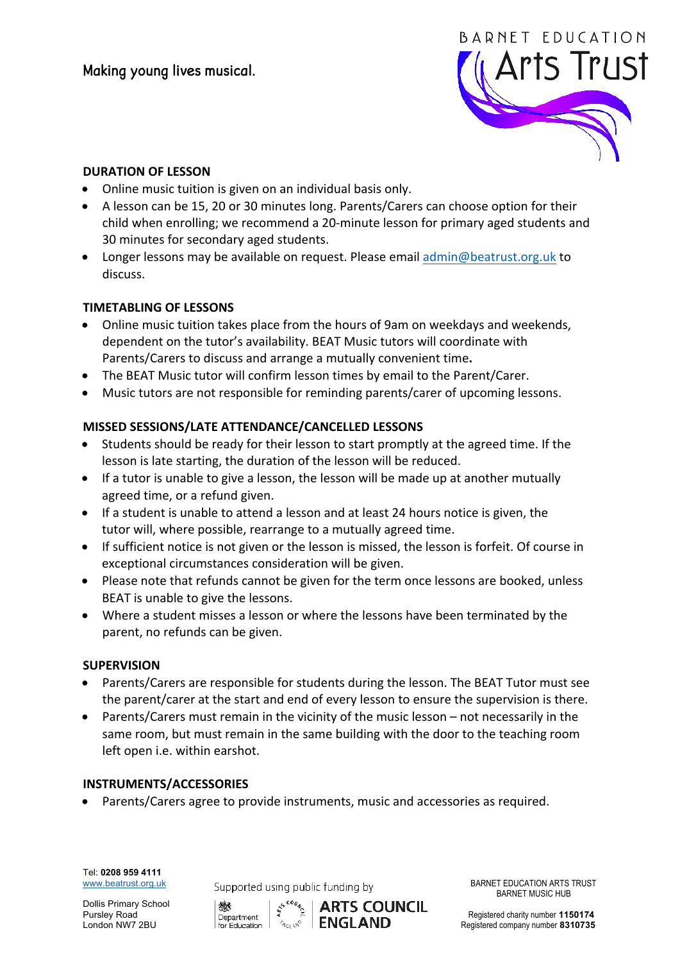

## **DURATION OF LESSON**

- Online music tuition is given on an individual basis only.
- A lesson can be 15, 20 or 30 minutes long. Parents/Carers can choose option for their child when enrolling; we recommend a 20-minute lesson for primary aged students and 30 minutes for secondary aged students.
- Longer lessons may be available on request. Please email admin@beatrust.org.uk to discuss.

## **TIMETABLING OF LESSONS**

- Online music tuition takes place from the hours of 9am on weekdays and weekends, dependent on the tutor's availability. BEAT Music tutors will coordinate with Parents/Carers to discuss and arrange a mutually convenient time.
- The BEAT Music tutor will confirm lesson times by email to the Parent/Carer.
- Music tutors are not responsible for reminding parents/carer of upcoming lessons.

## **MISSED SESSIONS/LATE ATTENDANCE/CANCELLED LESSONS**

- Students should be ready for their lesson to start promptly at the agreed time. If the lesson is late starting, the duration of the lesson will be reduced.
- If a tutor is unable to give a lesson, the lesson will be made up at another mutually agreed time, or a refund given.
- If a student is unable to attend a lesson and at least 24 hours notice is given, the tutor will, where possible, rearrange to a mutually agreed time.
- If sufficient notice is not given or the lesson is missed, the lesson is forfeit. Of course in exceptional circumstances consideration will be given.
- Please note that refunds cannot be given for the term once lessons are booked, unless BEAT is unable to give the lessons.
- Where a student misses a lesson or where the lessons have been terminated by the parent, no refunds can be given.

#### **SUPERVISION**

- Parents/Carers are responsible for students during the lesson. The BEAT Tutor must see the parent/carer at the start and end of every lesson to ensure the supervision is there.
- Parents/Carers must remain in the vicinity of the music lesson not necessarily in the same room, but must remain in the same building with the door to the teaching room left open *i.e.* within earshot.

#### **INSTRUMENTS/ACCESSORIES**

• Parents/Carers agree to provide instruments, music and accessories as required.

Tel: **0208 959 4111** 

Dollis Primary School

www.beatrust.org.uk Supported using public funding by BARNET EDUCATION ARTS TRUST



BARNET MUSIC HUB

Dollis Primary School **Antisophy School** Association and the set of the set of the Registered charity number 1150174<br>
London NW7 2BU **Registered company number 8310735**<br>
London NW7 2BU **Registered company number 8310735** Registered company number 8310735